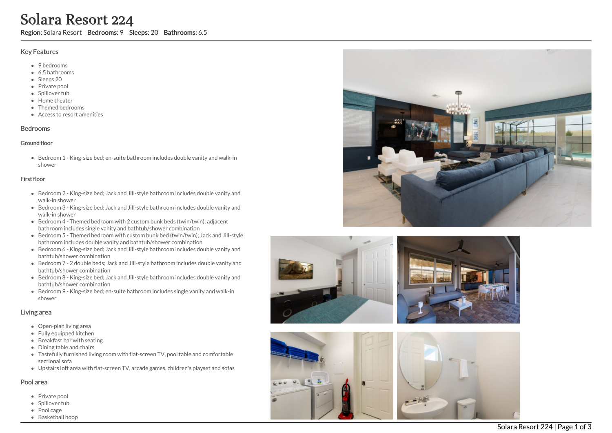# Solara Resort 224

Region: Solara Resort Bedrooms: 9 Sleeps: 20 Bathrooms: 6.5

### Key Features

- 9 bedrooms
- 6.5 b a t h r o o m s
- Sleeps 20
- Private pool
- Spillover tub
- Home theate r
- T h e m e d b e d r o o m s
- Access to resort amenities

#### **Bedrooms**

#### Ground floor

Bedroom 1 - King-size bed; en-suite bathroom includes double vanity and walk-in s h o w e r

#### First floor

- Bedroom 2 King-size bed; Jack and Jill-style bathroom includes double vanity and walk-in shower
- Bedroom 3 King-size bed; Jack and Jill-style bathroom includes double vanity and walk-in shower
- Bedroom 4 Themed bedroom with 2 custom bunk beds (twin/twin); adjacent bathroom includes single vanity and bathtub/shower combination
- Bedroom 5 Themed bedroom with custom bunk bed (twin/twin); Jack and Jill-style bathroom includes double vanity and bathtub/shower combination
- Bedroom 6 King-size bed; Jack and Jill-style bathroom includes double vanity and bathtub/shower combination
- Bedroom 7 2 double beds; Jack and Jill-style bathroom includes double vanity and bathtub/shower combination
- Bedroom 8 King-size bed; Jack and Jill-style bathroom includes double vanity and bathtub/shower combination
- Bedroom 9 King-size bed; en-suite bathroom includes single vanity and walk-in s h o w e r

## Living area

- Open-plan living area
- Fully equipped kitchen
- Breakfast bar with seating
- Dining table and chairs
- Tastefully furnished living room with flat-screen TV, pool table and comfortable s e c tio n al s o f a
- Upstairs loft area with flat-screen TV, arcade games, children's playset and sofas

#### Pool area

- Private pool
- Spillover tub
- Pool cage
- Basketball ho o p





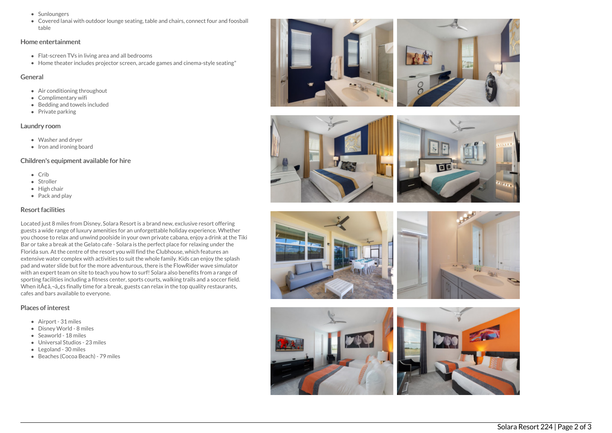- Sunloungers
- Covered lanai with outdoor lounge seating, table and chairs, connect four and foosball table

#### Home entertainment

- Flat-screen TVs in living area and all bedrooms
- Home theater includes projector screen, arcade games and cinema-style seating"

#### General

- Air conditioning throughout
- Complimentary wifi
- Bedding and towels included
- $\bullet$  Private parking

## Laundry room

- Washer and dryer
- Iron and ironing board

## Children's equipment available for hire

- $\bullet$  Crib
- Stroller
- High chair
- Pack and play

# Resort facilities

Located just 8 miles from Disney, Solara Resort is a brand new, exclusive resort offering guests a wide range of luxury amenities for an unforgettable holiday experience. Whether you choose to relax and unwind poolside in your own private cabana, enjoy a drink at the Tiki Bar or take a break at the Gelato cafe - Solara is the perfect place for relaxing under the Florida sun. At the centre of the resort you will find the Clubhouse, which features an extensive water complex with activities to suit the whole family. Kids can enjoy the splash pad and water slide but for the more adventurous, there is the FlowRider wave simulator with an expert team on site to teach you how to surf! Solara also benefits from a range of sporting facilities including a fitness center, sports courts, walking trails and a soccer field. When it $\tilde{A}$  $\tilde{a}$ , $\tilde{a}$ , $\tilde{a}$ , $\tilde{a}$  finally time for a break, guests can relax in the top quality restaurants, cafes and bars available to everyone.

## Places of interest

- Airport 31 miles
- Disney World 8 miles
- Seaworld 18 miles
- Universal Studios 23 miles
- Legoland 30 miles
- Beaches (Cocoa Beach) 79 miles